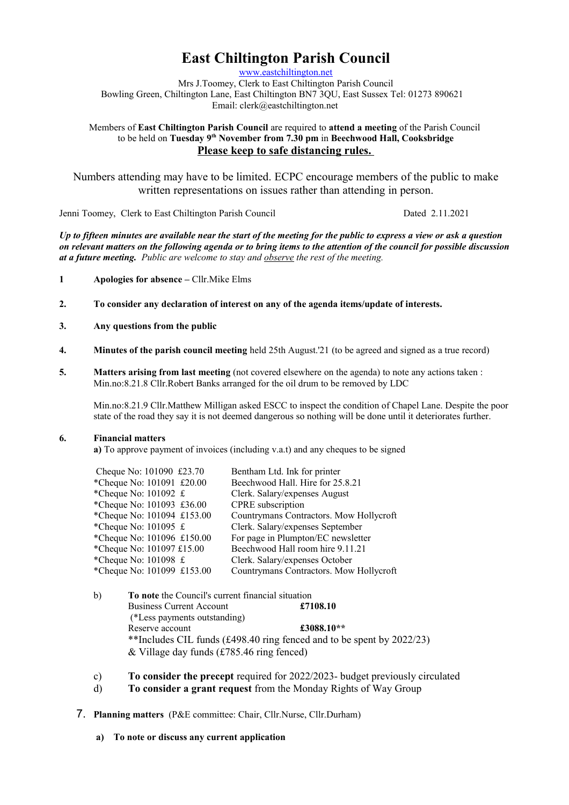# **East Chiltington Parish Council**

[www.eastchiltington.net](http://www.eastchiltington.net/)

Mrs J.Toomey, Clerk to East Chiltington Parish Council Bowling Green, Chiltington Lane, East Chiltington BN7 3QU, East Sussex Tel: 01273 890621 Email: cler[k@eastchiltington.net](mailto:jt@chiltington.wanadoo.co.uk) 

Members of **East Chiltington Parish Council** are required to **attend a meeting** of the Parish Council to be held on **Tuesday 9th November from 7.30 pm** in **Beechwood Hall, Cooksbridge Please keep to safe distancing rules.** 

Numbers attending may have to be limited. ECPC encourage members of the public to make written representations on issues rather than attending in person.

Jenni Toomey, Clerk to East Chiltington Parish Council Dated 2.11.2021

*Up to fifteen minutes are available near the start of the meeting for the public to express a view or ask a question on relevant matters on the following agenda or to bring items to the attention of the council for possible discussion at a future meeting. Public are welcome to stay and observe the rest of the meeting.*

- **1 Apologies for absence** Cllr.Mike Elms
- **2. To consider any declaration of interest on any of the agenda items/update of interests.**
- **3. Any questions from the public**
- **4. Minutes of the parish council meeting** held 25th August.'21 (to be agreed and signed as a true record)
- **5. Matters arising from last meeting** (not covered elsewhere on the agenda) to note any actions taken : Min.no:8.21.8 Cllr.Robert Banks arranged for the oil drum to be removed by LDC

Min.no:8.21.9 Cllr.Matthew Milligan asked ESCC to inspect the condition of Chapel Lane. Despite the poor state of the road they say it is not deemed dangerous so nothing will be done until it deteriorates further.

#### **6. Financial matters**

**a)** To approve payment of invoices (including v.a.t) and any cheques to be signed

| Cheque No: 101090 £23.70                           | Bentham Ltd. Ink for printer            |
|----------------------------------------------------|-----------------------------------------|
| *Cheque No: 101091 £20.00                          | Beechwood Hall. Hire for 25.8.21        |
| *Cheque No: 101092 £                               | Clerk. Salary/expenses August           |
| *Cheque No: 101093 £36.00                          | CPRE subscription                       |
| *Cheque No: 101094 £153.00                         | Countrymans Contractors. Mow Hollycroft |
| *Cheque No: $101095 \text{ } \pounds$              | Clerk. Salary/expenses September        |
| *Cheque No: 101096 £150.00                         | For page in Plumpton/EC newsletter      |
| *Cheque No: 101097 £15.00                          | Beechwood Hall room hire 9.11.21        |
| *Cheque No: $101098 \text{ } \text{\textsterling}$ | Clerk. Salary/expenses October          |
| *Cheque No: 101099 £153.00                         | Countrymans Contractors. Mow Hollycroft |

| $\mathbf{b}$ |                                                                          | To note the Council's current financial situation |  |
|--------------|--------------------------------------------------------------------------|---------------------------------------------------|--|
|              | <b>Business Current Account</b>                                          | £7108.10                                          |  |
|              | (*Less payments outstanding)                                             |                                                   |  |
|              | Reserve account                                                          | £3088.10**                                        |  |
|              | **Includes CIL funds (£498.40 ring fenced and to be spent by 2022/23)    |                                                   |  |
|              | & Village day funds $(\text{\pounds}785.46 \text{ ring } \text{fenced})$ |                                                   |  |

- c) **To consider the precept** required for 2022/2023- budget previously circulated
- d) **To consider a grant request** from the Monday Rights of Way Group
- 7. **Planning matters** (P&E committee: Chair, Cllr.Nurse, Cllr.Durham)
	- **a) To note or discuss any current application**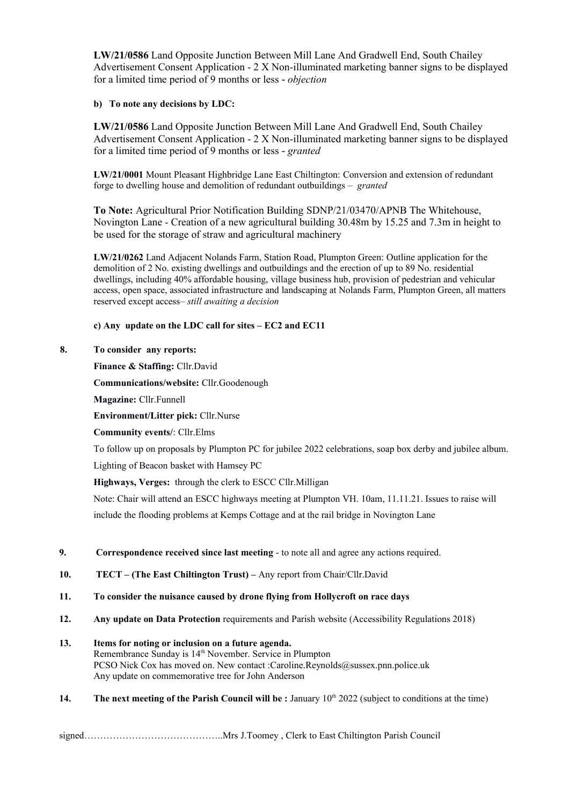**LW/21/0586** Land Opposite Junction Between Mill Lane And Gradwell End, South Chailey Advertisement Consent Application - 2 X Non-illuminated marketing banner signs to be displayed for a limited time period of 9 months or less - *objection*

## **b) To note any decisions by LDC:**

**LW/21/0586** Land Opposite Junction Between Mill Lane And Gradwell End, South Chailey Advertisement Consent Application - 2 X Non-illuminated marketing banner signs to be displayed for a limited time period of 9 months or less - *granted*

**LW/21/0001** Mount Pleasant Highbridge Lane East Chiltington: Conversion and extension of redundant forge to dwelling house and demolition of redundant outbuildings *– granted*

**To Note:** Agricultural Prior Notification Building SDNP/21/03470/APNB The Whitehouse, Novington Lane - Creation of a new agricultural building 30.48m by 15.25 and 7.3m in height to be used for the storage of straw and agricultural machinery

**LW/21/0262** Land Adjacent Nolands Farm, Station Road, Plumpton Green: Outline application for the demolition of 2 No. existing dwellings and outbuildings and the erection of up to 89 No. residential dwellings, including 40% affordable housing, village business hub, provision of pedestrian and vehicular access, open space, associated infrastructure and landscaping at Nolands Farm, Plumpton Green, all matters reserved except access*– still awaiting a decision*

# **c) Any update on the LDC call for sites – EC2 and EC11**

## **8. To consider any reports:**

## **Finance & Staffing:** Cllr.David

**Communications/website:** Cllr.Goodenough

**Magazine:** Cllr.Funnell

**Environment/Litter pick:** Cllr.Nurse

**Community events/**: Cllr.Elms

To follow up on proposals by Plumpton PC for jubilee 2022 celebrations, soap box derby and jubilee album. Lighting of Beacon basket with Hamsey PC

**Highways, Verges:** through the clerk to ESCC Cllr.Milligan

Note: Chair will attend an ESCC highways meeting at Plumpton VH. 10am, 11.11.21. Issues to raise will include the flooding problems at Kemps Cottage and at the rail bridge in Novington Lane

- **9. Correspondence received since last meeting**  to note all and agree any actions required.
- **10. TECT (The East Chiltington Trust) –** Any report from Chair/Cllr.David
- **11. To consider the nuisance caused by drone flying from Hollycroft on race days**
- **12. Any update on Data Protection** requirements and Parish website (Accessibility Regulations 2018)
- **13. Items for noting or inclusion on a future agenda.** Remembrance Sunday is 14<sup>th</sup> November. Service in Plumpton PCSO Nick Cox has moved on. New contact :Caroline.Reynolds@sussex.pnn.police.uk Any update on commemorative tree for John Anderson
- **14. The next meeting of the Parish Council will be : January 10th 2022 (subject to conditions at the time)**

signed……………………………………..Mrs J.Toomey , Clerk to East Chiltington Parish Council